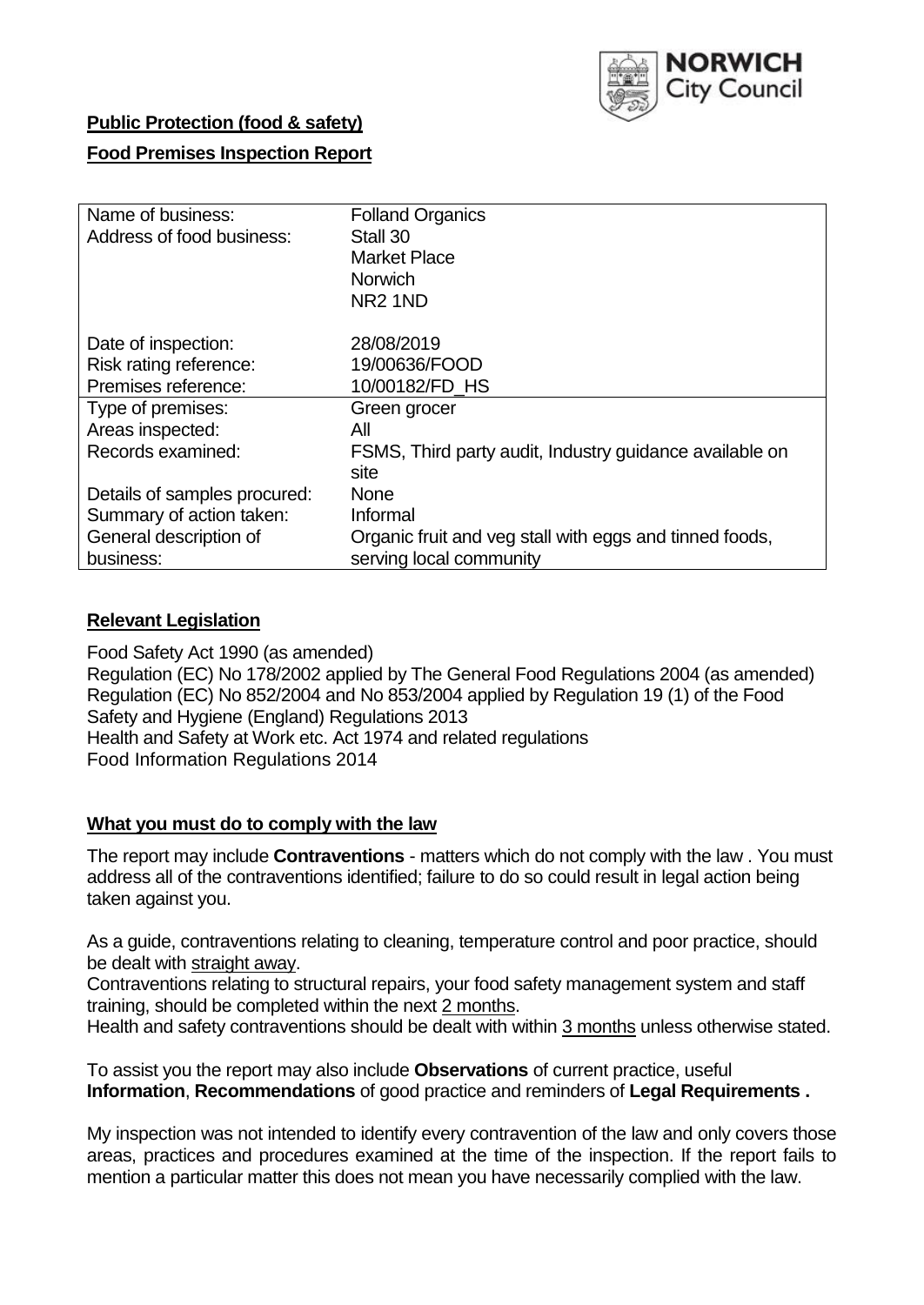

### **Public Protection (food & safety)**

### **Food Premises Inspection Report**

| Name of business:            | <b>Folland Organics</b>                                 |
|------------------------------|---------------------------------------------------------|
| Address of food business:    | Stall 30                                                |
|                              | <b>Market Place</b>                                     |
|                              | <b>Norwich</b>                                          |
|                              | NR <sub>2</sub> 1ND                                     |
| Date of inspection:          | 28/08/2019                                              |
| Risk rating reference:       | 19/00636/FOOD                                           |
| Premises reference:          | 10/00182/FD HS                                          |
| Type of premises:            | Green grocer                                            |
| Areas inspected:             | All                                                     |
| Records examined:            | FSMS, Third party audit, Industry guidance available on |
|                              | site                                                    |
| Details of samples procured: | <b>None</b>                                             |
| Summary of action taken:     | Informal                                                |
| General description of       | Organic fruit and veg stall with eggs and tinned foods, |
| business:                    | serving local community                                 |

### **Relevant Legislation**

Food Safety Act 1990 (as amended) Regulation (EC) No 178/2002 applied by The General Food Regulations 2004 (as amended) Regulation (EC) No 852/2004 and No 853/2004 applied by Regulation 19 (1) of the Food Safety and Hygiene (England) Regulations 2013 Health and Safety at Work etc. Act 1974 and related regulations Food Information Regulations 2014

### **What you must do to comply with the law**

The report may include **Contraventions** - matters which do not comply with the law . You must address all of the contraventions identified; failure to do so could result in legal action being taken against you.

As a guide, contraventions relating to cleaning, temperature control and poor practice, should be dealt with straight away.

Contraventions relating to structural repairs, your food safety management system and staff training, should be completed within the next 2 months.

Health and safety contraventions should be dealt with within 3 months unless otherwise stated.

To assist you the report may also include **Observations** of current practice, useful **Information**, **Recommendations** of good practice and reminders of **Legal Requirements .**

My inspection was not intended to identify every contravention of the law and only covers those areas, practices and procedures examined at the time of the inspection. If the report fails to mention a particular matter this does not mean you have necessarily complied with the law.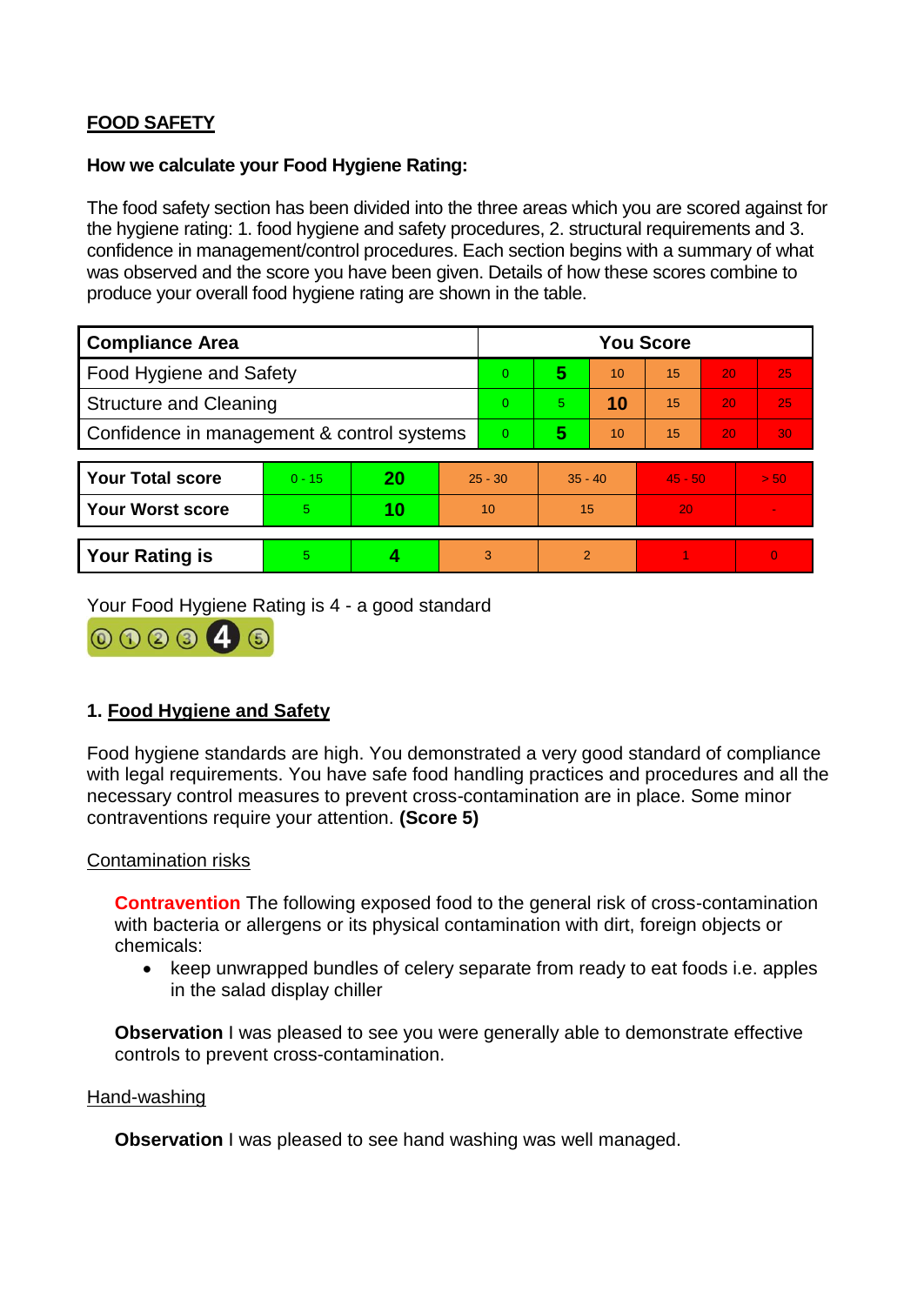# **FOOD SAFETY**

#### **How we calculate your Food Hygiene Rating:**

The food safety section has been divided into the three areas which you are scored against for the hygiene rating: 1. food hygiene and safety procedures, 2. structural requirements and 3. confidence in management/control procedures. Each section begins with a summary of what was observed and the score you have been given. Details of how these scores combine to produce your overall food hygiene rating are shown in the table.

| <b>Compliance Area</b>                     |          |    |           | <b>You Score</b> |           |    |           |    |                |  |  |
|--------------------------------------------|----------|----|-----------|------------------|-----------|----|-----------|----|----------------|--|--|
| Food Hygiene and Safety                    |          |    |           | $\Omega$         | 5         | 10 | 15        | 20 | 25             |  |  |
| <b>Structure and Cleaning</b>              |          |    |           | $\Omega$         | 5.        | 10 | 15        | 20 | 25             |  |  |
| Confidence in management & control systems |          |    |           | $\Omega$         | 5         | 10 | 15        | 20 | 30             |  |  |
|                                            |          |    |           |                  |           |    |           |    |                |  |  |
| <b>Your Total score</b>                    | $0 - 15$ | 20 | $25 - 30$ |                  | $35 - 40$ |    | $45 - 50$ |    | > 50           |  |  |
| <b>Your Worst score</b>                    | 5.       | 10 | 10        |                  | 15        |    | 20        |    | $\blacksquare$ |  |  |
|                                            |          |    |           |                  |           |    |           |    |                |  |  |
| <b>Your Rating is</b>                      | 5        |    |           | 3                | 2         |    |           |    | $\overline{0}$ |  |  |

Your Food Hygiene Rating is 4 - a good standard



## **1. Food Hygiene and Safety**

Food hygiene standards are high. You demonstrated a very good standard of compliance with legal requirements. You have safe food handling practices and procedures and all the necessary control measures to prevent cross-contamination are in place. Some minor contraventions require your attention. **(Score 5)**

### Contamination risks

**Contravention** The following exposed food to the general risk of cross-contamination with bacteria or allergens or its physical contamination with dirt, foreign objects or chemicals:

• keep unwrapped bundles of celery separate from ready to eat foods i.e. apples in the salad display chiller

**Observation** I was pleased to see you were generally able to demonstrate effective controls to prevent cross-contamination.

#### Hand-washing

**Observation** I was pleased to see hand washing was well managed.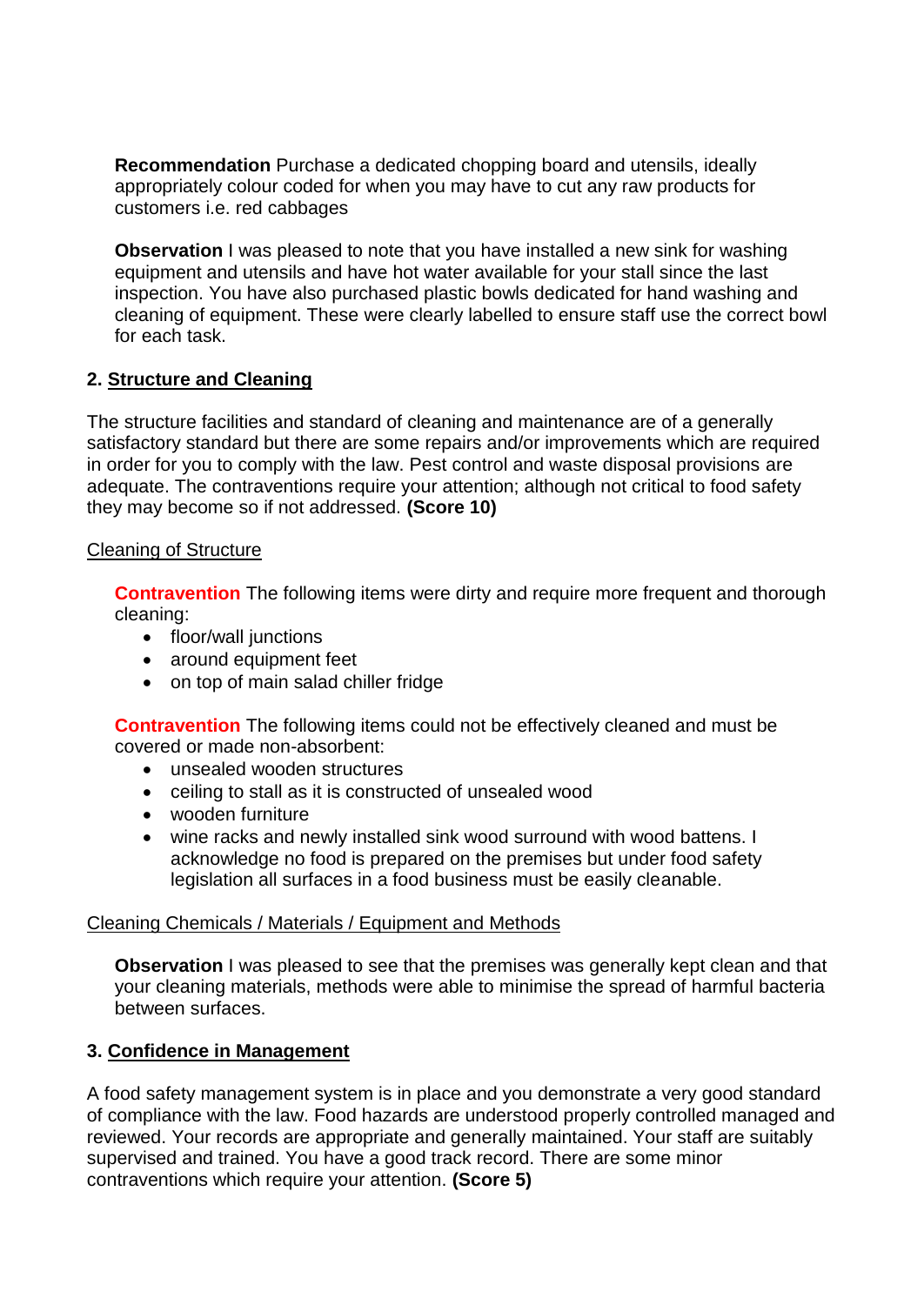**Recommendation** Purchase a dedicated chopping board and utensils, ideally appropriately colour coded for when you may have to cut any raw products for customers i.e. red cabbages

**Observation** I was pleased to note that you have installed a new sink for washing equipment and utensils and have hot water available for your stall since the last inspection. You have also purchased plastic bowls dedicated for hand washing and cleaning of equipment. These were clearly labelled to ensure staff use the correct bowl for each task.

### **2. Structure and Cleaning**

The structure facilities and standard of cleaning and maintenance are of a generally satisfactory standard but there are some repairs and/or improvements which are required in order for you to comply with the law. Pest control and waste disposal provisions are adequate. The contraventions require your attention; although not critical to food safety they may become so if not addressed. **(Score 10)**

### Cleaning of Structure

**Contravention** The following items were dirty and require more frequent and thorough cleaning:

- floor/wall junctions
- around equipment feet
- on top of main salad chiller fridge

**Contravention** The following items could not be effectively cleaned and must be covered or made non-absorbent:

- unsealed wooden structures
- ceiling to stall as it is constructed of unsealed wood
- wooden furniture
- wine racks and newly installed sink wood surround with wood battens. I acknowledge no food is prepared on the premises but under food safety legislation all surfaces in a food business must be easily cleanable.

### Cleaning Chemicals / Materials / Equipment and Methods

**Observation** I was pleased to see that the premises was generally kept clean and that your cleaning materials, methods were able to minimise the spread of harmful bacteria between surfaces.

## **3. Confidence in Management**

A food safety management system is in place and you demonstrate a very good standard of compliance with the law. Food hazards are understood properly controlled managed and reviewed. Your records are appropriate and generally maintained. Your staff are suitably supervised and trained. You have a good track record. There are some minor contraventions which require your attention. **(Score 5)**